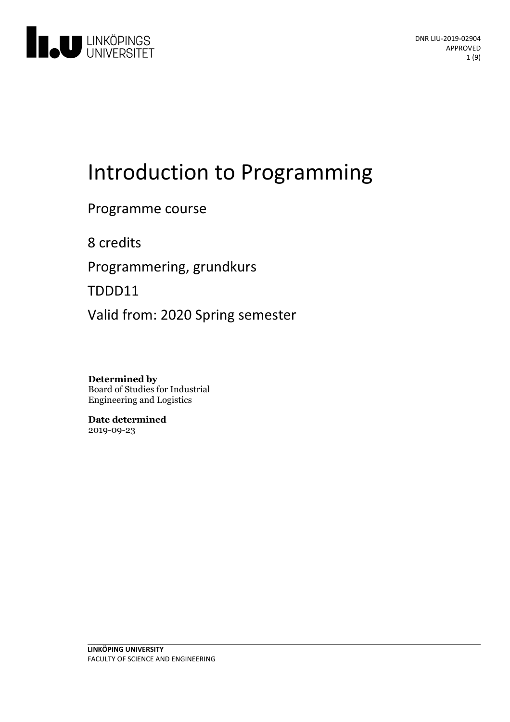

# Introduction to Programming

Programme course

8 credits

Programmering, grundkurs

TDDD11

Valid from: 2020 Spring semester

**Determined by** Board of Studies for Industrial Engineering and Logistics

**Date determined** 2019-09-23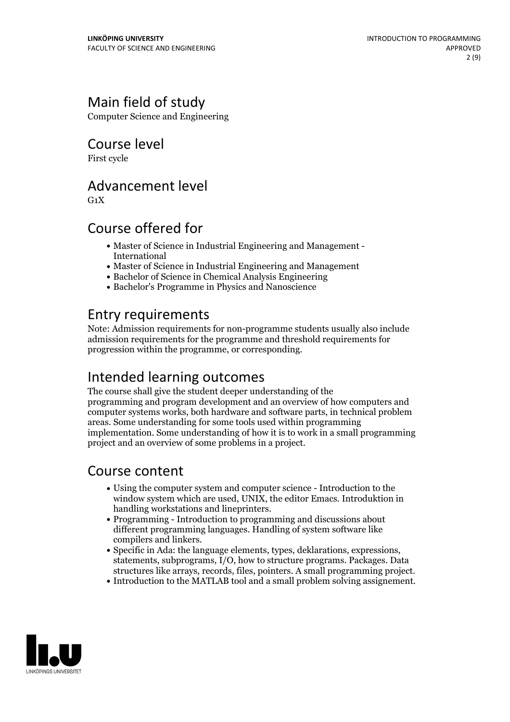# Main field of study

Computer Science and Engineering

Course level

First cycle

### Advancement level

 $G_1X$ 

# Course offered for

- Master of Science in Industrial Engineering and Management International
- Master of Science in Industrial Engineering and Management
- Bachelor of Science in Chemical Analysis Engineering
- Bachelor's Programme in Physics and Nanoscience

### Entry requirements

Note: Admission requirements for non-programme students usually also include admission requirements for the programme and threshold requirements for progression within the programme, or corresponding.

# Intended learning outcomes

The course shall give the student deeper understanding of the programming and program development and an overview of how computers and computer systems works, both hardware and software parts, in technical problem areas. Some understanding for some tools used within programming implementation. Some understanding of how it is to work in a small programming project and an overview of some problems in a project.

### Course content

- Using the computer system and computer science Introduction to the window system which are used, UNIX, the editor Emacs. Introduktion in handling workstations and lineprinters.<br>• Programming - Introduction to programming and discussions about
- different programming languages. Handling of system software like
- compilers and linkers. Specific in Ada: the language elements, types, deklarations, expressions, statements, subprograms, I/O, how to structure programs. Packages. Data structures like arrays, records, files, pointers. <sup>A</sup> small programming project. Introduction to the MATLAB tool and <sup>a</sup> small problem solving assignement.
- 

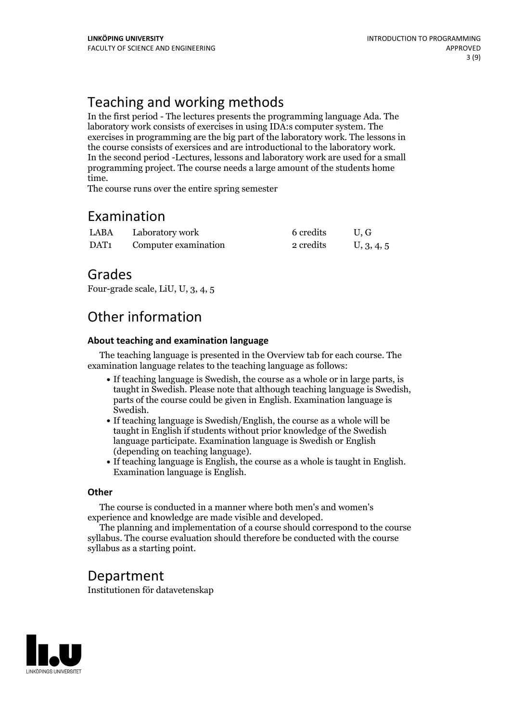# Teaching and working methods

In the first period - The lectures presents the programming language Ada. The laboratory work consists of exercises in using IDA:s computer system. The exercises in programming are the big part of the laboratory work. The lessons in In the second period -Lectures, lessons and laboratory work are used for a small programming project. The course needs a large amount of the students home time. The course runs over the entire spring semester

### Examination

| LABA | Laboratory work      | 6 credits | U.G        |
|------|----------------------|-----------|------------|
| DAT1 | Computer examination | 2 credits | U, 3, 4, 5 |

### Grades

Four-grade scale, LiU, U, 3, 4, 5

# Other information

#### **About teaching and examination language**

The teaching language is presented in the Overview tab for each course. The examination language relates to the teaching language as follows:

- If teaching language is Swedish, the course as a whole or in large parts, is taught in Swedish. Please note that although teaching language is Swedish, parts of the course could be given in English. Examination language is
- If teaching language is Swedish/English, the course as a whole will be taught in English if students without prior knowledge of the Swedish language participate. Examination language is Swedish or English
- (depending on teaching language).<br>• If teaching language is English, the course as a whole is taught in English.<br>Examination language is English.

#### **Other**

The course is conducted in a manner where both men's and women's

experience and knowledge are made visible and developed. The planning and implementation of <sup>a</sup> course should correspond to the course syllabus. The course evaluation should therefore be conducted with the course syllabus as a starting point.

### Department

Institutionen för datavetenskap

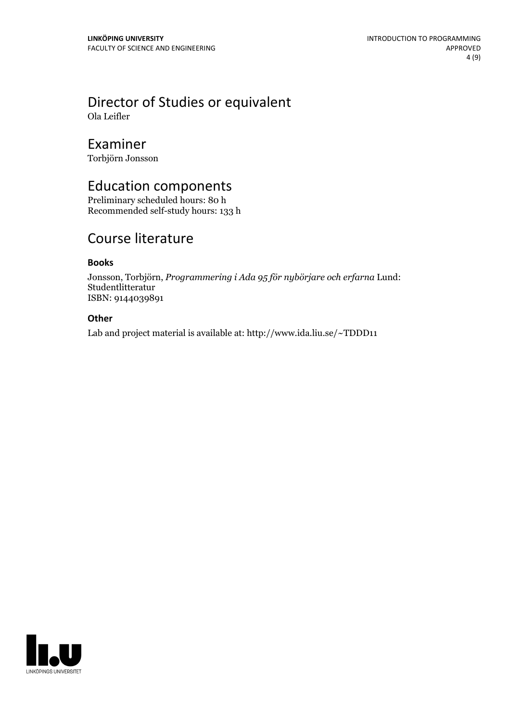# Director of Studies or equivalent

Ola Leifler

### Examiner

Torbjörn Jonsson

### Education components

Preliminary scheduled hours: 80 h Recommended self-study hours: 133 h

# Course literature

#### **Books**

Jonsson, Torbjörn, *Programmering i Ada 95 för nybörjare och erfarna* Lund: Studentlitteratur ISBN: 9144039891

#### **Other**

Lab and project material is available at: http://www.ida.liu.se/~TDDD11

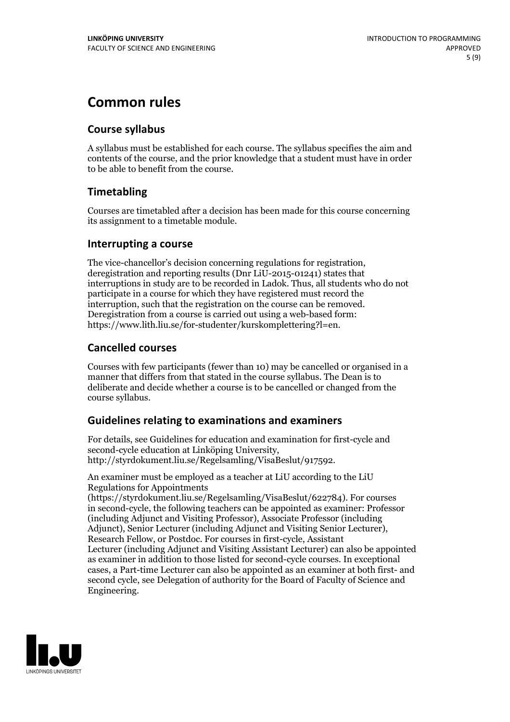# **Common rules**

#### **Course syllabus**

A syllabus must be established for each course. The syllabus specifies the aim and contents of the course, and the prior knowledge that a student must have in order to be able to benefit from the course.

### **Timetabling**

Courses are timetabled after a decision has been made for this course concerning its assignment to a timetable module.

#### **Interrupting a course**

The vice-chancellor's decision concerning regulations for registration, deregistration and reporting results (Dnr LiU-2015-01241) states that interruptions in study are to be recorded in Ladok. Thus, all students who do not participate in a course for which they have registered must record the interruption, such that the registration on the course can be removed. Deregistration from <sup>a</sup> course is carried outusing <sup>a</sup> web-based form: https://www.lith.liu.se/for-studenter/kurskomplettering?l=en.

### **Cancelled courses**

Courses with few participants (fewer than 10) may be cancelled or organised in a manner that differs from that stated in the course syllabus. The Dean is to deliberate and decide whether a course is to be cancelled or changed from the course syllabus.

### **Guidelines relatingto examinations and examiners**

For details, see Guidelines for education and examination for first-cycle and second-cycle education at Linköping University, http://styrdokument.liu.se/Regelsamling/VisaBeslut/917592.

An examiner must be employed as a teacher at LiU according to the LiU Regulations for Appointments

(https://styrdokument.liu.se/Regelsamling/VisaBeslut/622784). For courses in second-cycle, the following teachers can be appointed as examiner: Professor (including Adjunct and Visiting Professor), Associate Professor (including Adjunct), Senior Lecturer (including Adjunct and Visiting Senior Lecturer), Research Fellow, or Postdoc. For courses in first-cycle, Assistant Lecturer (including Adjunct and Visiting Assistant Lecturer) can also be appointed as examiner in addition to those listed for second-cycle courses. In exceptional cases, a Part-time Lecturer can also be appointed as an examiner at both first- and second cycle, see Delegation of authority for the Board of Faculty of Science and Engineering.

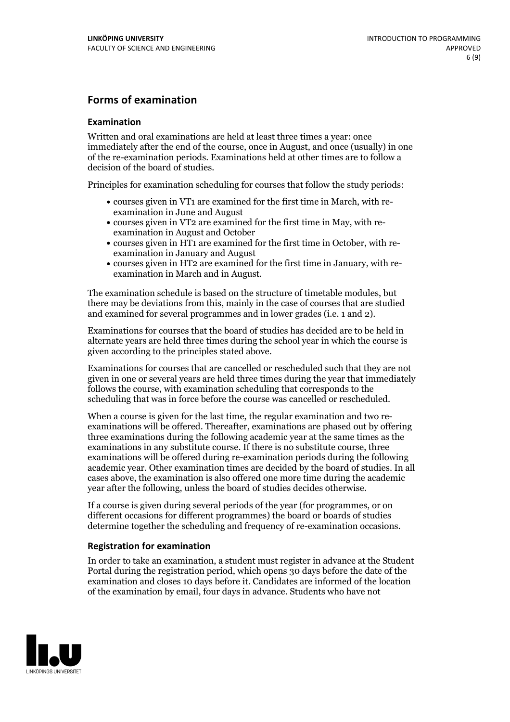#### **Forms of examination**

#### **Examination**

Written and oral examinations are held at least three times a year: once immediately after the end of the course, once in August, and once (usually) in one of the re-examination periods. Examinations held at other times are to follow a decision of the board of studies.

Principles for examination scheduling for courses that follow the study periods:

- courses given in VT1 are examined for the first time in March, with re-examination in June and August
- courses given in VT2 are examined for the first time in May, with re-examination in August and October
- courses given in HT1 are examined for the first time in October, with re-examination in January and August
- courses given in HT2 are examined for the first time in January, with re-examination in March and in August.

The examination schedule is based on the structure of timetable modules, but there may be deviations from this, mainly in the case of courses that are studied and examined for several programmes and in lower grades (i.e. 1 and 2).

Examinations for courses that the board of studies has decided are to be held in alternate years are held three times during the school year in which the course is given according to the principles stated above.

Examinations for courses that are cancelled orrescheduled such that they are not given in one or several years are held three times during the year that immediately follows the course, with examination scheduling that corresponds to the scheduling that was in force before the course was cancelled or rescheduled.

When a course is given for the last time, the regular examination and two re-<br>examinations will be offered. Thereafter, examinations are phased out by offering three examinations during the following academic year at the same times as the examinations in any substitute course. If there is no substitute course, three examinations will be offered during re-examination periods during the following academic year. Other examination times are decided by the board of studies. In all cases above, the examination is also offered one more time during the academic year after the following, unless the board of studies decides otherwise.

If a course is given during several periods of the year (for programmes, or on different occasions for different programmes) the board or boards of studies determine together the scheduling and frequency of re-examination occasions.

#### **Registration for examination**

In order to take an examination, a student must register in advance at the Student Portal during the registration period, which opens 30 days before the date of the examination and closes 10 days before it. Candidates are informed of the location of the examination by email, four days in advance. Students who have not

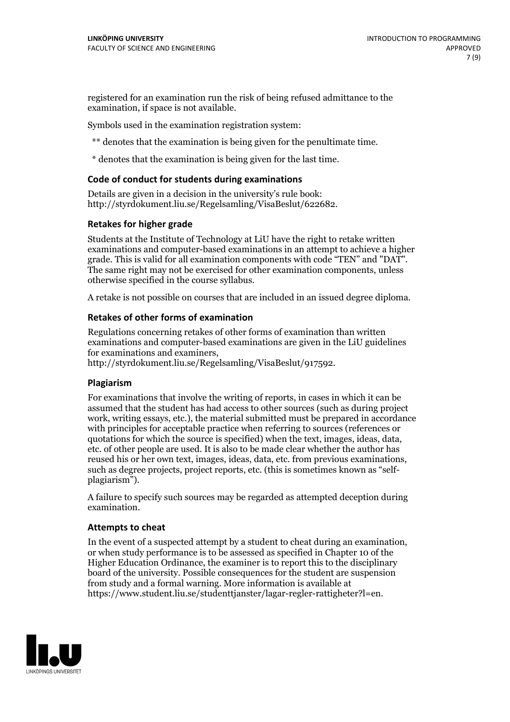registered for an examination run the risk of being refused admittance to the examination, if space is not available.

Symbols used in the examination registration system:

\*\* denotes that the examination is being given for the penultimate time.

\* denotes that the examination is being given for the last time.

#### **Code of conduct for students during examinations**

Details are given in a decision in the university's rule book: http://styrdokument.liu.se/Regelsamling/VisaBeslut/622682.

#### **Retakes for higher grade**

Students at the Institute of Technology at LiU have the right to retake written examinations and computer-based examinations in an attempt to achieve a higher grade. This is valid for all examination components with code "TEN" and "DAT". The same right may not be exercised for other examination components, unless otherwise specified in the course syllabus.

A retake is not possible on courses that are included in an issued degree diploma.

#### **Retakes of other forms of examination**

Regulations concerning retakes of other forms of examination than written examinations and computer-based examinations are given in the LiU guidelines

http://styrdokument.liu.se/Regelsamling/VisaBeslut/917592.

#### **Plagiarism**

For examinations that involve the writing of reports, in cases in which it can be assumed that the student has had access to other sources (such as during project work, writing essays, etc.), the material submitted must be prepared in accordance with principles for acceptable practice when referring to sources (references or quotations for which the source is specified) when the text, images, ideas, data,  $\vec{e}$  etc. of other people are used. It is also to be made clear whether the author has reused his or her own text, images, ideas, data, etc. from previous examinations, such as degree projects, project reports, etc. (this is sometimes known as "self- plagiarism").

A failure to specify such sources may be regarded as attempted deception during examination.

#### **Attempts to cheat**

In the event of <sup>a</sup> suspected attempt by <sup>a</sup> student to cheat during an examination, or when study performance is to be assessed as specified in Chapter <sup>10</sup> of the Higher Education Ordinance, the examiner is to report this to the disciplinary board of the university. Possible consequences for the student are suspension from study and a formal warning. More information is available at https://www.student.liu.se/studenttjanster/lagar-regler-rattigheter?l=en.

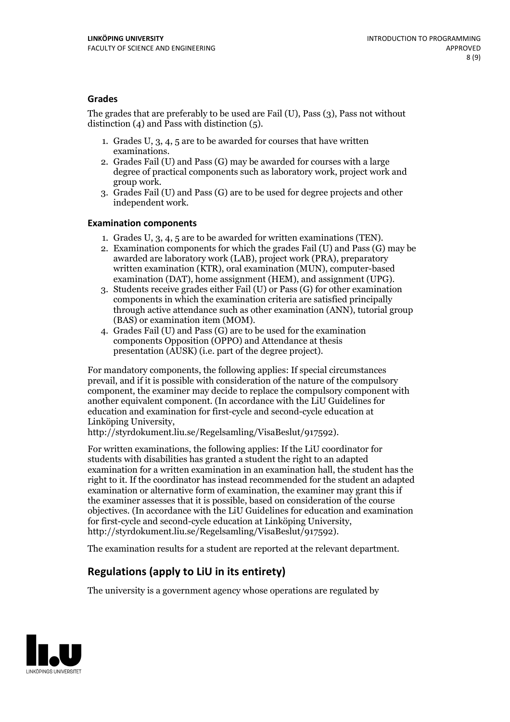#### **Grades**

The grades that are preferably to be used are Fail (U), Pass (3), Pass not without distinction  $(4)$  and Pass with distinction  $(5)$ .

- 1. Grades U, 3, 4, 5 are to be awarded for courses that have written
- examinations. 2. Grades Fail (U) and Pass (G) may be awarded for courses with <sup>a</sup> large degree of practical components such as laboratory work, project work and group work. 3. Grades Fail (U) and Pass (G) are to be used for degree projects and other
- independent work.

#### **Examination components**

- 
- 1. Grades U, 3, 4, <sup>5</sup> are to be awarded for written examinations (TEN). 2. Examination components for which the grades Fail (U) and Pass (G) may be awarded are laboratory work (LAB), project work (PRA), preparatory written examination (KTR), oral examination (MUN), computer-based
- examination (DAT), home assignment (HEM), and assignment (UPG). 3. Students receive grades either Fail (U) or Pass (G) for other examination components in which the examination criteria are satisfied principally through active attendance such as other examination (ANN), tutorial group (BAS) or examination item (MOM). 4. Grades Fail (U) and Pass (G) are to be used for the examination
- components Opposition (OPPO) and Attendance at thesis presentation (AUSK) (i.e. part of the degree project).

For mandatory components, the following applies: If special circumstances prevail, and if it is possible with consideration of the nature of the compulsory component, the examiner may decide to replace the compulsory component with another equivalent component. (In accordance with the LiU Guidelines for education and examination for first-cycle and second-cycle education at Linköping University, http://styrdokument.liu.se/Regelsamling/VisaBeslut/917592).

For written examinations, the following applies: If the LiU coordinator for students with disabilities has granted a student the right to an adapted examination for a written examination in an examination hall, the student has the right to it. If the coordinator has instead recommended for the student an adapted examination or alternative form of examination, the examiner may grant this if the examiner assesses that it is possible, based on consideration of the course objectives. (In accordance with the LiU Guidelines for education and examination for first-cycle and second-cycle education at Linköping University, http://styrdokument.liu.se/Regelsamling/VisaBeslut/917592).

The examination results for a student are reported at the relevant department.

### **Regulations (applyto LiU in its entirety)**

The university is a government agency whose operations are regulated by